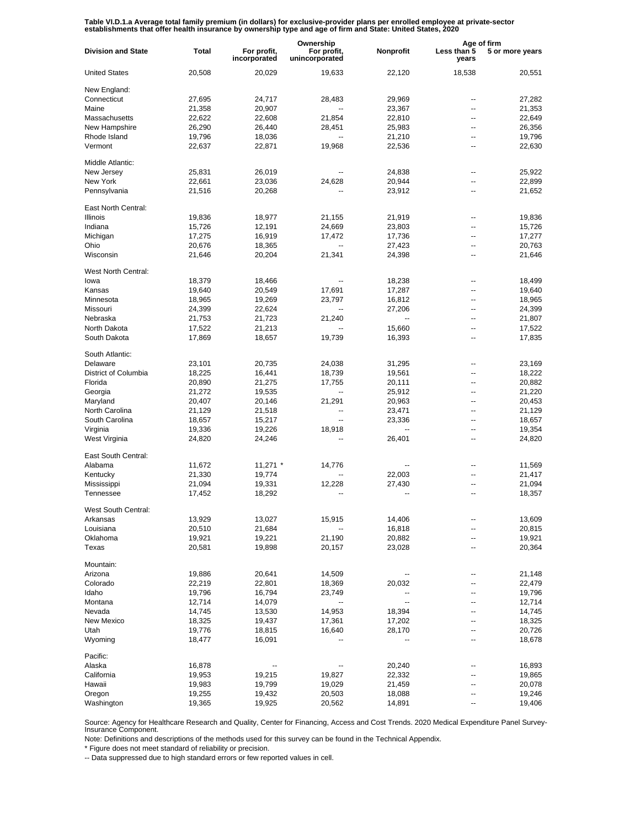Table VI.D.1.a Average total family premium (in dollars) for exclusive-provider plans per enrolled employee at private-sector<br>establishments that offer health insurance by ownership type and age of firm and State: United S

|                           |        |                             | Ownership                     |           | Age of firm          |                 |
|---------------------------|--------|-----------------------------|-------------------------------|-----------|----------------------|-----------------|
| <b>Division and State</b> | Total  | For profit,<br>incorporated | For profit,<br>unincorporated | Nonprofit | Less than 5<br>years | 5 or more years |
| <b>United States</b>      | 20,508 | 20,029                      | 19,633                        | 22,120    | 18,538               | 20,551          |
| New England:              |        |                             |                               |           |                      |                 |
| Connecticut               | 27,695 | 24,717                      | 28,483                        | 29,969    | --                   | 27,282          |
| Maine                     | 21,358 | 20,907                      |                               | 23,367    | --                   | 21,353          |
| Massachusetts             | 22,622 | 22,608                      | 21,854                        | 22,810    | --                   | 22,649          |
| New Hampshire             | 26,290 | 26,440                      | 28,451                        | 25,983    | --                   | 26,356          |
| Rhode Island              | 19,796 | 18,036                      |                               | 21,210    | --                   | 19,796          |
| Vermont                   | 22,637 | 22,871                      | 19,968                        | 22,536    | --                   | 22,630          |
| Middle Atlantic:          |        |                             |                               |           |                      |                 |
| New Jersey                | 25,831 | 26,019                      |                               | 24,838    | --                   | 25,922          |
| New York                  | 22,661 | 23,036                      | 24,628                        | 20,944    | --                   | 22,899          |
| Pennsylvania              | 21,516 | 20,268                      |                               | 23,912    | ۰.                   | 21,652          |
| East North Central:       |        |                             |                               |           |                      |                 |
| Illinois                  | 19,836 | 18,977                      | 21,155                        | 21,919    | --                   | 19,836          |
| Indiana                   | 15,726 | 12,191                      | 24,669                        | 23,803    | --                   | 15,726          |
| Michigan                  | 17,275 | 16,919                      | 17,472                        | 17,736    | --                   | 17,277          |
| Ohio                      | 20,676 | 18,365                      |                               | 27,423    | --                   | 20,763          |
| Wisconsin                 |        |                             |                               |           | --                   |                 |
|                           | 21,646 | 20,204                      | 21,341                        | 24,398    |                      | 21,646          |
| West North Central:       |        |                             |                               |           |                      |                 |
| lowa                      | 18,379 | 18,466                      |                               | 18,238    | --                   | 18,499          |
| Kansas                    | 19,640 | 20,549                      | 17,691                        | 17,287    | --                   | 19,640          |
| Minnesota                 | 18,965 | 19,269                      | 23,797                        | 16,812    | --                   | 18,965          |
| Missouri                  | 24,399 | 22,624                      |                               | 27,206    | --                   | 24,399          |
| Nebraska                  | 21,753 | 21,723                      | 21,240                        |           | --                   | 21,807          |
| North Dakota              | 17,522 | 21,213                      |                               | 15,660    | --                   | 17,522          |
| South Dakota              | 17,869 | 18,657                      | 19,739                        | 16,393    | --                   | 17,835          |
| South Atlantic:           |        |                             |                               |           |                      |                 |
| Delaware                  | 23,101 | 20,735                      | 24,038                        | 31,295    | --                   | 23,169          |
| District of Columbia      | 18,225 | 16,441                      | 18,739                        | 19,561    | ۰.                   | 18,222          |
| Florida                   | 20,890 | 21,275                      | 17,755                        | 20,111    | --                   | 20,882          |
|                           |        |                             |                               |           |                      |                 |
| Georgia                   | 21,272 | 19,535                      | --                            | 25,912    | ۰.                   | 21,220          |
| Maryland                  | 20,407 | 20,146                      | 21,291                        | 20,963    | --                   | 20,453          |
| North Carolina            | 21,129 | 21,518                      |                               | 23,471    | --                   | 21,129          |
| South Carolina            | 18,657 | 15,217                      | $\overline{a}$                | 23,336    | --                   | 18,657          |
| Virginia                  | 19,336 | 19,226                      | 18,918                        | --        | ۰.                   | 19,354          |
| West Virginia             | 24,820 | 24,246                      |                               | 26,401    | --                   | 24,820          |
| East South Central:       |        |                             |                               |           |                      |                 |
| Alabama                   | 11,672 | $11,271$ *                  | 14,776                        | --        | --                   | 11,569          |
| Kentucky                  | 21,330 | 19,774                      |                               | 22,003    | --                   | 21,417          |
| Mississippi               | 21,094 | 19,331                      | 12,228                        | 27,430    | --                   | 21,094          |
| Tennessee                 | 17,452 | 18,292                      |                               | --        | $\overline{a}$       | 18,357          |
| West South Central:       |        |                             |                               |           |                      |                 |
| Arkansas                  | 13,929 | 13,027                      | 15,915                        | 14,406    |                      | 13,609          |
| Louisiana                 | 20,510 | 21,684                      |                               | 16,818    | -−                   | 20,815          |
| Oklahoma                  | 19,921 | 19,221                      | 21,190                        | 20,882    | --                   | 19,921          |
| Texas                     | 20,581 | 19,898                      | 20,157                        | 23,028    | -−                   | 20,364          |
|                           |        |                             |                               |           |                      |                 |
| Mountain:                 |        |                             |                               |           |                      |                 |
| Arizona                   | 19,886 | 20,641                      | 14,509                        |           | --                   | 21,148          |
| Colorado                  | 22,219 | 22,801                      | 18,369                        | 20,032    | -−                   | 22,479          |
| Idaho                     | 19,796 | 16,794                      | 23,749                        | --        | ۰.                   | 19,796          |
| Montana                   | 12,714 | 14,079                      | $\overline{\phantom{a}}$      | --        | -−                   | 12,714          |
| Nevada                    | 14,745 | 13,530                      | 14,953                        | 18,394    | -−                   | 14,745          |
| New Mexico                | 18,325 | 19,437                      | 17,361                        | 17,202    | -−                   | 18,325          |
| Utah                      | 19,776 | 18,815                      | 16,640                        | 28,170    | ۰.                   | 20,726          |
| Wyoming                   | 18,477 | 16,091                      |                               |           | -−                   | 18,678          |
| Pacific:                  |        |                             |                               |           |                      |                 |
| Alaska                    | 16,878 |                             |                               | 20,240    |                      | 16,893          |
|                           |        |                             |                               |           |                      |                 |
| California                | 19,953 | 19,215                      | 19,827                        | 22,332    |                      | 19,865          |
| Hawaii                    | 19,983 | 19,799                      | 19,029                        | 21,459    | --                   | 20,078          |
| Oregon                    | 19,255 | 19,432                      | 20,503                        | 18,088    | --                   | 19,246          |
| Washington                | 19,365 | 19,925                      | 20,562                        | 14,891    | --                   | 19,406          |

Source: Agency for Healthcare Research and Quality, Center for Financing, Access and Cost Trends. 2020 Medical Expenditure Panel Survey-Insurance Component.

Note: Definitions and descriptions of the methods used for this survey can be found in the Technical Appendix.

\* Figure does not meet standard of reliability or precision.

-- Data suppressed due to high standard errors or few reported values in cell.